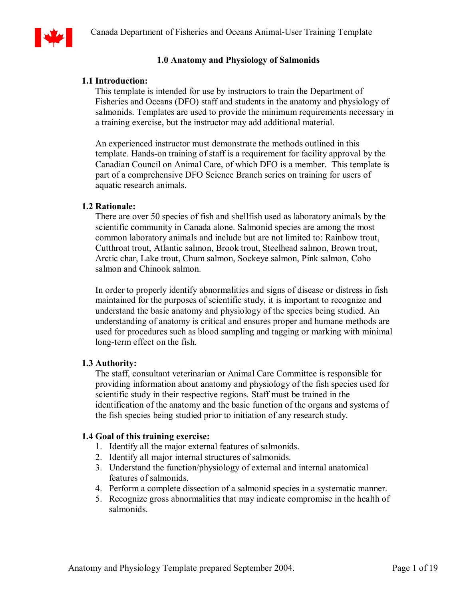

# **1.0 Anatomy and Physiology of Salmonids**

# **1.1 Introduction:**

This template is intended for use by instructors to train the Department of Fisheries and Oceans (DFO) staff and students in the anatomy and physiology of salmonids. Templates are used to provide the minimum requirements necessary in a training exercise, but the instructor may add additional material.

An experienced instructor must demonstrate the methods outlined in this template. Hands-on training of staff is a requirement for facility approval by the Canadian Council on Animal Care, of which DFO is a member. This template is part of a comprehensive DFO Science Branch series on training for users of aquatic research animals.

### **1.2 Rationale:**

There are over 50 species of fish and shellfish used as laboratory animals by the scientific community in Canada alone. Salmonid species are among the most common laboratory animals and include but are not limited to: Rainbow trout, Cutthroat trout, Atlantic salmon, Brook trout, Steelhead salmon, Brown trout, Arctic char, Lake trout, Chum salmon, Sockeye salmon, Pink salmon, Coho salmon and Chinook salmon.

In order to properly identify abnormalities and signs of disease or distress in fish maintained for the purposes of scientific study, it is important to recognize and understand the basic anatomy and physiology of the species being studied. An understanding of anatomy is critical and ensures proper and humane methods are used for procedures such as blood sampling and tagging or marking with minimal long-term effect on the fish.

# **1.3 Authority:**

The staff, consultant veterinarian or Animal Care Committee is responsible for providing information about anatomy and physiology of the fish species used for scientific study in their respective regions. Staff must be trained in the identification of the anatomy and the basic function of the organs and systems of the fish species being studied prior to initiation of any research study.

### **1.4 Goal of this training exercise:**

- 1. Identify all the major external features of salmonids.
- 2. Identify all major internal structures of salmonids.
- 3. Understand the function/physiology of external and internal anatomical features of salmonids.
- 4. Perform a complete dissection of a salmonid species in a systematic manner.
- 5. Recognize gross abnormalities that may indicate compromise in the health of salmonids.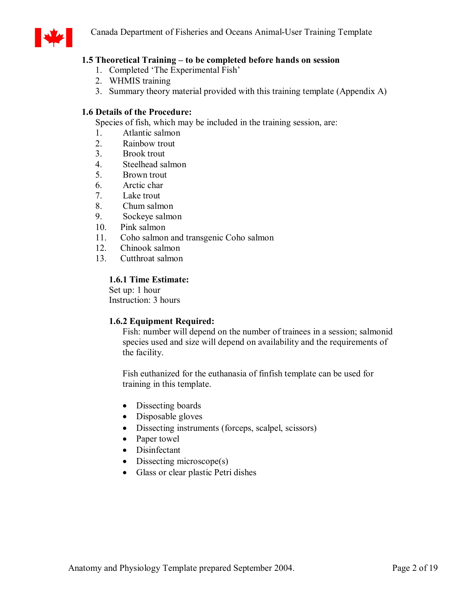

# **1.5 Theoretical Training – to be completed before hands on session**

- 1. Completed 'The Experimental Fish'
- 2. WHMIS training
- 3. Summary theory material provided with this training template (Appendix A)

# **1.6 Details of the Procedure:**

Species of fish, which may be included in the training session, are:

- 1. Atlantic salmon
- 2. Rainbow trout
- 3. Brook trout
- 4. Steelhead salmon
- 5. Brown trout
- 6. Arctic char
- 7. Lake trout
- 8. Chum salmon<br>9. Sockeye salmo
- Sockeye salmon
- 10. Pink salmon
- 11. Coho salmon and transgenic Coho salmon
- 12. Chinook salmon
- 13. Cutthroat salmon

# **1.6.1 Time Estimate:**

Set up: 1 hour Instruction: 3 hours

# **1.6.2 Equipment Required:**

Fish: number will depend on the number of trainees in a session; salmonid species used and size will depend on availability and the requirements of the facility.

Fish euthanized for the euthanasia of finfish template can be used for training in this template.

- Dissecting boards
- Disposable gloves
- Dissecting instruments (forceps, scalpel, scissors)
- Paper towel
- · Disinfectant
- Dissecting microscope(s)
- · Glass or clear plastic Petri dishes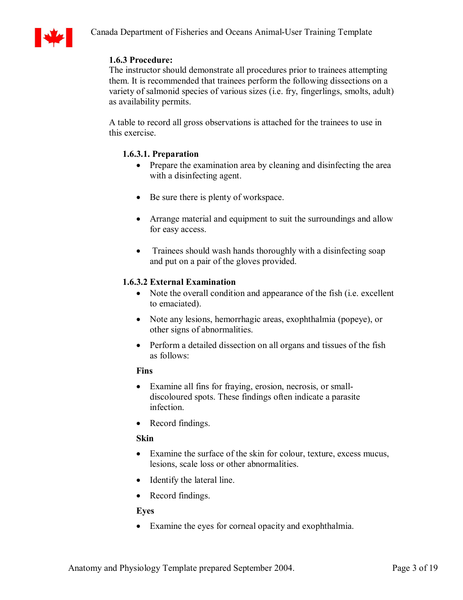

# **1.6.3 Procedure:**

The instructor should demonstrate all procedures prior to trainees attempting them. It is recommended that trainees perform the following dissections on a variety of salmonid species of various sizes (i.e. fry, fingerlings, smolts, adult) as availability permits.

A table to record all gross observations is attached for the trainees to use in this exercise.

# **1.6.3.1. Preparation**

- Prepare the examination area by cleaning and disinfecting the area with a disinfecting agent.
- Be sure there is plenty of workspace.
- Arrange material and equipment to suit the surroundings and allow for easy access.
- Trainees should wash hands thoroughly with a disinfecting soap and put on a pair of the gloves provided.

# **1.6.3.2 External Examination**

- Note the overall condition and appearance of the fish (i.e. excellent to emaciated).
- · Note any lesions, hemorrhagic areas, exophthalmia (popeye), or other signs of abnormalities.
- Perform a detailed dissection on all organs and tissues of the fish as follows:

# **Fins**

- Examine all fins for fraying, erosion, necrosis, or smalldiscoloured spots. These findings often indicate a parasite infection.
- Record findings.

# **Skin**

- · Examine the surface of the skin for colour, texture, excess mucus, lesions, scale loss or other abnormalities.
- Identify the lateral line.
- Record findings.

### **Eyes**

· Examine the eyes for corneal opacity and exophthalmia.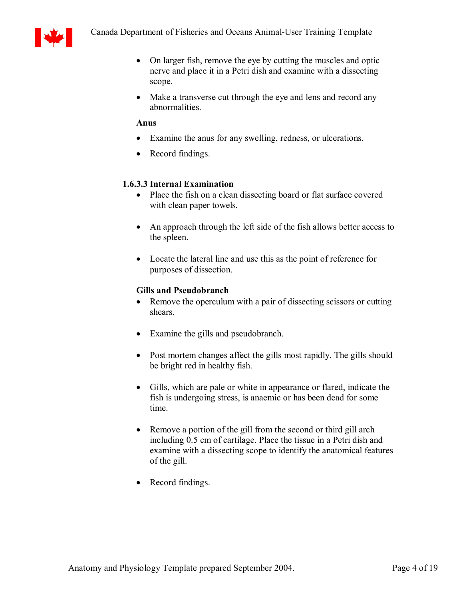

- On larger fish, remove the eye by cutting the muscles and optic nerve and place it in a Petri dish and examine with a dissecting scope.
- Make a transverse cut through the eye and lens and record any abnormalities.

# **Anus**

- · Examine the anus for any swelling, redness, or ulcerations.
- Record findings.

# **1.6.3.3 Internal Examination**

- Place the fish on a clean dissecting board or flat surface covered with clean paper towels.
- An approach through the left side of the fish allows better access to the spleen.
- · Locate the lateral line and use this as the point of reference for purposes of dissection.

# **Gills and Pseudobranch**

- Remove the operculum with a pair of dissecting scissors or cutting shears.
- Examine the gills and pseudobranch.
- Post mortem changes affect the gills most rapidly. The gills should be bright red in healthy fish.
- · Gills, which are pale or white in appearance or flared, indicate the fish is undergoing stress, is anaemic or has been dead for some time.
- Remove a portion of the gill from the second or third gill arch including 0.5 cm of cartilage. Place the tissue in a Petri dish and examine with a dissecting scope to identify the anatomical features of the gill.
- Record findings.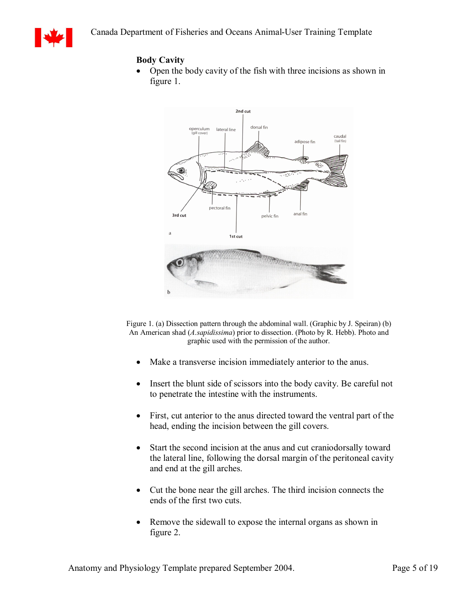

# **Body Cavity**

• Open the body cavity of the fish with three incisions as shown in figure 1.



Figure 1. (a) Dissection pattern through the abdominal wall. (Graphic by J. Speiran) (b) An American shad (*A.sapidissima*) prior to dissection. (Photo by R. Hebb). Photo and graphic used with the permission of the author.

- Make a transverse incision immediately anterior to the anus.
- Insert the blunt side of scissors into the body cavity. Be careful not to penetrate the intestine with the instruments.
- First, cut anterior to the anus directed toward the ventral part of the head, ending the incision between the gill covers.
- Start the second incision at the anus and cut craniodorsally toward the lateral line, following the dorsal margin of the peritoneal cavity and end at the gill arches.
- · Cut the bone near the gill arches. The third incision connects the ends of the first two cuts.
- Remove the sidewall to expose the internal organs as shown in figure 2.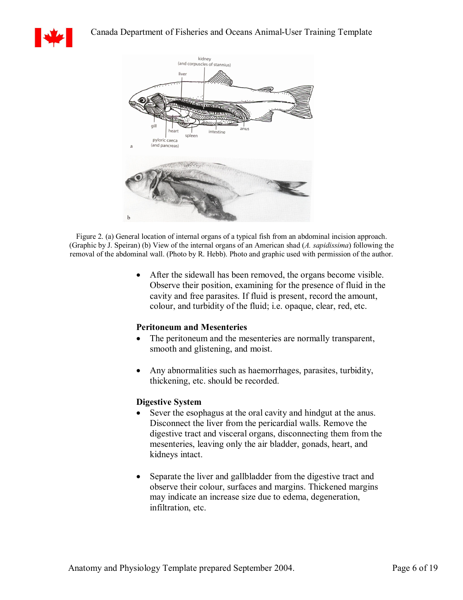



Figure 2. (a) General location of internal organs of a typical fish from an abdominal incision approach. (Graphic by J.Speiran) (b) View of the internal organs of an American shad (*A. sapidissima*) following the removal of the abdominal wall. (Photo by R. Hebb). Photo and graphic used with permission of the author.

> · After the sidewall has been removed, the organs become visible. Observe their position, examining for the presence of fluid in the cavity and free parasites. If fluid is present, record the amount, colour, and turbidity of the fluid; i.e. opaque, clear, red, etc.

### **Peritoneum and Mesenteries**

- The peritoneum and the mesenteries are normally transparent, smooth and glistening, and moist.
- · Any abnormalities such as haemorrhages, parasites, turbidity, thickening, etc. should be recorded.

#### **Digestive System**

- Sever the esophagus at the oral cavity and hindgut at the anus. Disconnect the liver from the pericardial walls. Remove the digestive tract and visceral organs, disconnecting them from the mesenteries, leaving only the air bladder, gonads, heart, and kidneys intact.
- Separate the liver and gallbladder from the digestive tract and observe their colour, surfaces and margins. Thickened margins may indicate an increase size due to edema, degeneration, infiltration, etc.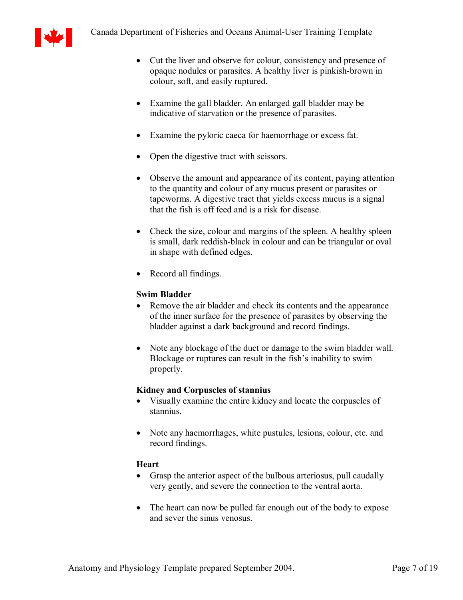

- Cut the liver and observe for colour, consistency and presence of opaque nodules or parasites. A healthy liver is pinkish-brown in colour, soft, and easily ruptured.
- · Examine the gall bladder. An enlarged gall bladder may be indicative of starvation or the presence of parasites.
- · Examine the pyloric caeca for haemorrhage or excess fat.
- Open the digestive tract with scissors.
- Observe the amount and appearance of its content, paying attention to the quantity and colour of any mucus present or parasites or tapeworms. A digestive tract that yields excess mucus is a signal that the fish is off feed and is a risk for disease.
- Check the size, colour and margins of the spleen. A healthy spleen is small, dark reddish-black in colour and can be triangular or oval in shape with defined edges.
- Record all findings.

# **Swim Bladder**

- Remove the air bladder and check its contents and the appearance of the inner surface for the presence of parasites by observing the bladder against a dark background and record findings.
- Note any blockage of the duct or damage to the swim bladder wall. Blockage or ruptures can result in the fish's inability to swim properly.

# **Kidney and Corpuscles of stannius**

- · Visually examine the entire kidney and locate the corpuscles of stannius.
- Note any haemorrhages, white pustules, lesions, colour, etc. and record findings.

# **Heart**

- Grasp the anterior aspect of the bulbous arteriosus, pull caudally very gently, and severe the connection to the ventral aorta.
- The heart can now be pulled far enough out of the body to expose and sever the sinus venosus.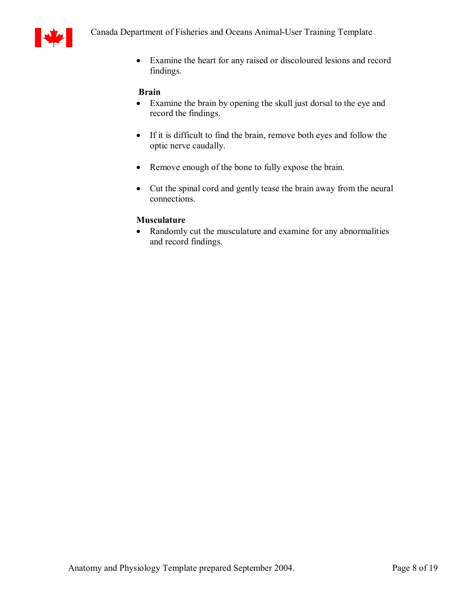

· Examine the heart for any raised or discoloured lesions and record findings.

### **Brain**

- · Examine the brain by opening the skull just dorsal to the eye and record the findings.
- If it is difficult to find the brain, remove both eyes and follow the optic nerve caudally.
- Remove enough of the bone to fully expose the brain.
- · Cut the spinal cord and gently tease the brain away from the neural connections.

### **Musculature**

• Randomly cut the musculature and examine for any abnormalities and record findings.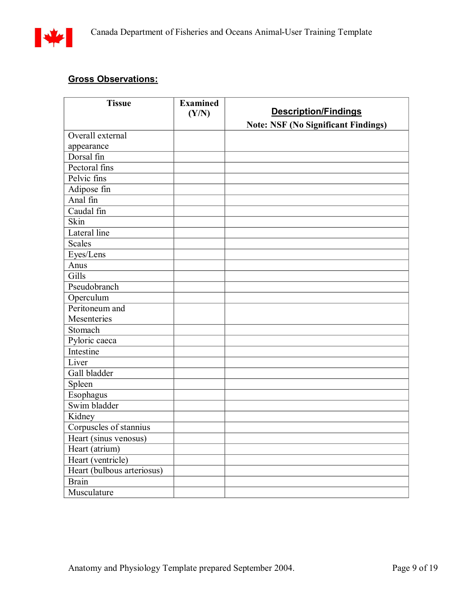

# **Gross Observations:**

| <b>Tissue</b>              | <b>Examined</b> |                                            |
|----------------------------|-----------------|--------------------------------------------|
|                            | (Y/N)           | <b>Description/Findings</b>                |
|                            |                 | <b>Note: NSF (No Significant Findings)</b> |
| Overall external           |                 |                                            |
| appearance                 |                 |                                            |
| Dorsal fin                 |                 |                                            |
| Pectoral fins              |                 |                                            |
| Pelvic fins                |                 |                                            |
| Adipose fin                |                 |                                            |
| Anal fin                   |                 |                                            |
| Caudal fin                 |                 |                                            |
| Skin                       |                 |                                            |
| <b>Lateral</b> line        |                 |                                            |
| <b>Scales</b>              |                 |                                            |
| Eyes/Lens                  |                 |                                            |
| Anus                       |                 |                                            |
| Gills                      |                 |                                            |
| Pseudobranch               |                 |                                            |
| Operculum                  |                 |                                            |
| Peritoneum and             |                 |                                            |
| Mesenteries                |                 |                                            |
| Stomach                    |                 |                                            |
| Pyloric caeca              |                 |                                            |
| Intestine                  |                 |                                            |
| Liver                      |                 |                                            |
| Gall bladder               |                 |                                            |
| Spleen                     |                 |                                            |
| Esophagus                  |                 |                                            |
| Swim bladder               |                 |                                            |
| Kidney                     |                 |                                            |
| Corpuscles of stannius     |                 |                                            |
| Heart (sinus venosus)      |                 |                                            |
| Heart (atrium)             |                 |                                            |
| Heart (ventricle)          |                 |                                            |
| Heart (bulbous arteriosus) |                 |                                            |
| <b>Brain</b>               |                 |                                            |
| Musculature                |                 |                                            |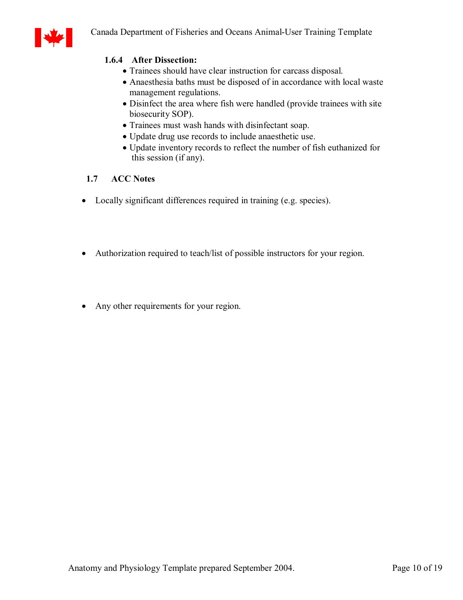

# **1.6.4 After Dissection:**

- · Trainees should have clear instruction for carcass disposal.
- · Anaesthesia baths must be disposed of in accordance with local waste management regulations.
- · Disinfect the area where fish were handled (provide trainees with site biosecurity SOP).
- · Trainees must wash hands with disinfectant soap.
- · Update drug use records to include anaesthetic use.
- · Update inventory records to reflect the number of fish euthanized for this session (if any).

### **1.7 ACC Notes**

- · Locally significant differences required in training (e.g. species).
- Authorization required to teach/list of possible instructors for your region.
- Any other requirements for your region.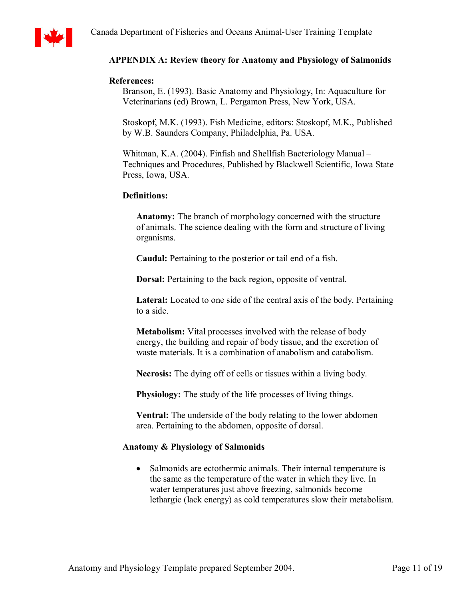

# **APPENDIX A: Review theory for Anatomy and Physiology of Salmonids**

#### **References:**

Branson, E. (1993). Basic Anatomy and Physiology, In: Aquaculture for Veterinarians (ed) Brown, L. Pergamon Press, New York, USA.

Stoskopf, M.K. (1993). Fish Medicine, editors: Stoskopf, M.K., Published by W.B. Saunders Company, Philadelphia, Pa. USA.

Whitman, K.A. (2004). Finfish and Shellfish Bacteriology Manual – Techniques and Procedures, Published by Blackwell Scientific, Iowa State Press, Iowa, USA.

### **Definitions:**

**Anatomy:** The branch of morphology concerned with the structure of animals. The science dealing with the form and structure of living organisms.

**Caudal:** Pertaining to the posterior or tail end of a fish.

**Dorsal:** Pertaining to the back region, opposite of ventral.

**Lateral:** Located to one side of the central axis of the body. Pertaining to a side.

**Metabolism:** Vital processes involved with the release of body energy, the building and repair of body tissue, and the excretion of waste materials. It is a combination of anabolism and catabolism.

**Necrosis:** The dying off of cells or tissues within a living body.

**Physiology:** The study of the life processes of living things.

**Ventral:** The underside of the body relating to the lower abdomen area. Pertaining to the abdomen, opposite of dorsal.

### **Anatomy & Physiology of Salmonids**

• Salmonids are ectothermic animals. Their internal temperature is the same as the temperature of the water in which they live. In water temperatures just above freezing, salmonids become lethargic (lack energy) as cold temperatures slow their metabolism.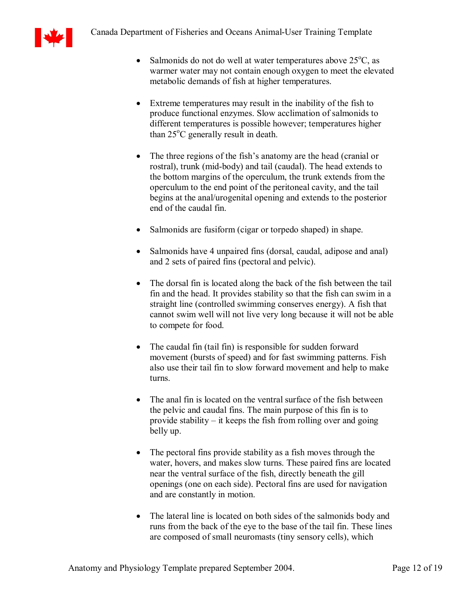

- Salmonids do not do well at water temperatures above  $25^{\circ}$ C, as warmer water may not contain enough oxygen to meet the elevated metabolic demands of fish at higher temperatures.
- Extreme temperatures may result in the inability of the fish to produce functional enzymes. Slow acclimation of salmonids to different temperatures is possible however; temperatures higher than  $25^{\circ}$ C generally result in death.
- The three regions of the fish's anatomy are the head (cranial or rostral), trunk (mid-body) and tail (caudal). The head extends to the bottom margins of the operculum, the trunk extends from the operculum to the end point of the peritoneal cavity, and the tail begins at the anal/urogenital opening and extends to the posterior end of the caudal fin.
- Salmonids are fusiform (cigar or torpedo shaped) in shape.
- Salmonids have 4 unpaired fins (dorsal, caudal, adipose and anal) and 2 sets of paired fins (pectoral and pelvic).
- The dorsal fin is located along the back of the fish between the tail fin and the head. It provides stability so that the fish can swim in a straight line (controlled swimming conserves energy). A fish that cannot swim well will not live very long because it will not be able to compete for food.
- The caudal fin (tail fin) is responsible for sudden forward movement (bursts of speed) and for fast swimming patterns. Fish also use their tail fin to slow forward movement and help to make turns.
- The anal fin is located on the ventral surface of the fish between the pelvic and caudal fins. The main purpose of this fin is to provide stability – it keeps the fish from rolling over and going belly up.
- The pectoral fins provide stability as a fish moves through the water, hovers, and makes slow turns. These paired fins are located near the ventral surface of the fish, directly beneath the gill openings (one on each side). Pectoral fins are used for navigation and are constantly in motion.
- · The lateral line is located on both sides of the salmonids body and runs from the back of the eye to the base of the tail fin. These lines are composed of small neuromasts (tiny sensory cells), which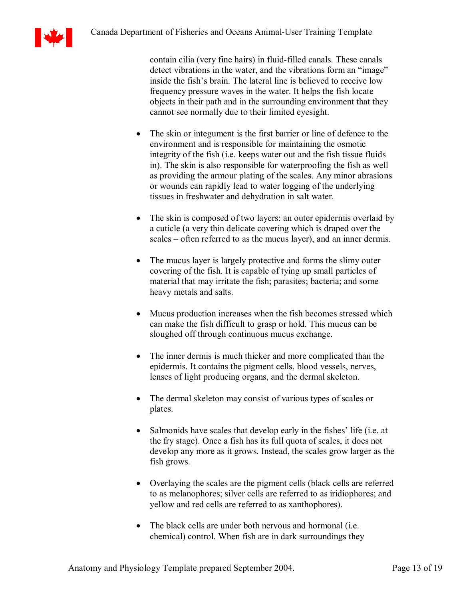

contain cilia (very fine hairs) in fluid-filled canals. These canals detect vibrations in the water, and the vibrations form an "image" inside the fish's brain. The lateral line is believed to receive low frequency pressure waves in the water. It helps the fish locate objects in their path and in the surrounding environment that they cannot see normally due to their limited eyesight.

- The skin or integument is the first barrier or line of defence to the environment and is responsible for maintaining the osmotic integrity of the fish (i.e. keeps water out and the fish tissue fluids in). The skin is also responsible for waterproofing the fish as well as providing the armour plating of the scales. Any minor abrasions or wounds can rapidly lead to water logging of the underlying tissues in freshwater and dehydration in salt water.
- The skin is composed of two layers: an outer epidermis overlaid by a cuticle (a very thin delicate covering which is draped over the scales – often referred to as the mucus layer), and an inner dermis.
- The mucus layer is largely protective and forms the slimy outer covering of the fish. It is capable of tying up small particles of material that may irritate the fish; parasites; bacteria; and some heavy metals and salts.
- · Mucus production increases when the fish becomes stressed which can make the fish difficult to grasp or hold. This mucus can be sloughed off through continuous mucus exchange.
- The inner dermis is much thicker and more complicated than the epidermis. It contains the pigment cells, blood vessels, nerves, lenses of light producing organs, and the dermal skeleton.
- The dermal skeleton may consist of various types of scales or plates.
- Salmonids have scales that develop early in the fishes' life (i.e. at the fry stage). Once a fish has its full quota of scales, it does not develop any more as it grows. Instead, the scales grow larger as the fish grows.
- · Overlaying the scales are the pigment cells (black cells are referred to as melanophores; silver cells are referred to as iridiophores; and yellow and red cells are referred to as xanthophores).
- The black cells are under both nervous and hormonal (i.e. chemical) control. When fish are in dark surroundings they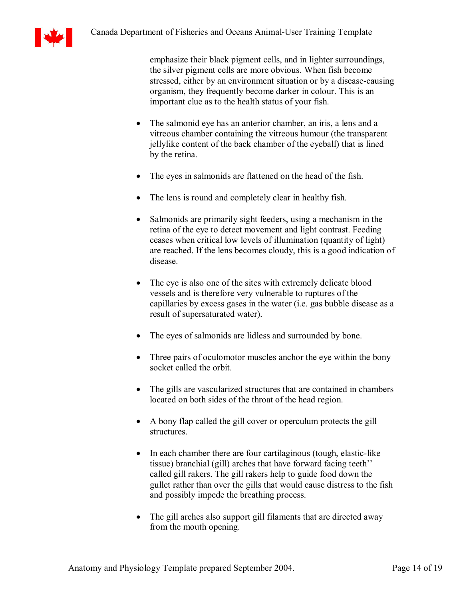

emphasize their black pigment cells, and in lighter surroundings, the silver pigment cells are more obvious. When fish become stressed, either by an environment situation or by a disease-causing organism, they frequently become darker in colour. This is an important clue as to the health status of your fish.

- The salmonid eye has an anterior chamber, an iris, a lens and a vitreous chamber containing the vitreous humour (the transparent jellylike content of the back chamber of the eyeball) that is lined by the retina.
- The eyes in salmonids are flattened on the head of the fish.
- The lens is round and completely clear in healthy fish.
- Salmonids are primarily sight feeders, using a mechanism in the retina of the eye to detect movement and light contrast. Feeding ceases when critical low levels of illumination (quantity of light) are reached. If the lens becomes cloudy, this is a good indication of disease.
- The eye is also one of the sites with extremely delicate blood vessels and is therefore very vulnerable to ruptures of the capillaries by excess gases in the water (i.e. gas bubble disease as a result of supersaturated water).
- The eyes of salmonids are lidless and surrounded by bone.
- Three pairs of oculomotor muscles anchor the eye within the bony socket called the orbit.
- · The gills are vascularized structures that are contained in chambers located on both sides of the throat of the head region.
- · A bony flap called the gill cover or operculum protects the gill structures.
- In each chamber there are four cartilaginous (tough, elastic-like tissue) branchial (gill) arches that have forward facing teeth'' called gill rakers. The gill rakers help to guide food down the gullet rather than over the gills that would cause distress to the fish and possibly impede the breathing process.
- The gill arches also support gill filaments that are directed away from the mouth opening.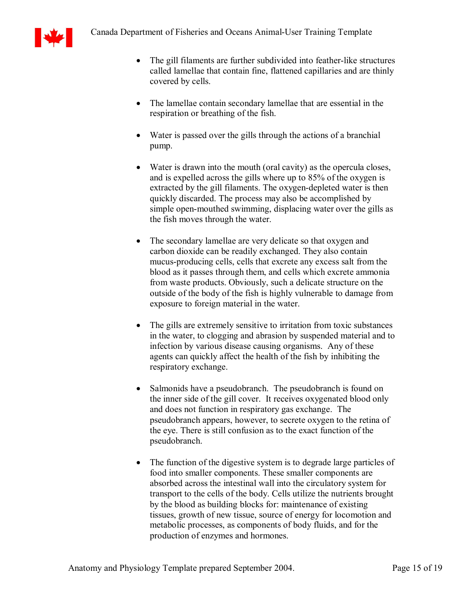

- The gill filaments are further subdivided into feather-like structures called lamellae that contain fine, flattened capillaries and are thinly covered by cells.
- · The lamellae contain secondary lamellae that are essential in the respiration or breathing of the fish.
- Water is passed over the gills through the actions of a branchial pump.
- Water is drawn into the mouth (oral cavity) as the opercula closes, and is expelled across the gills where up to 85% of the oxygen is extracted by the gill filaments. The oxygen-depleted water is then quickly discarded. The process may also be accomplished by simple open-mouthed swimming, displacing water over the gills as the fish moves through the water.
- The secondary lamellae are very delicate so that oxygen and carbon dioxide can be readily exchanged. They also contain mucus-producing cells, cells that excrete any excess salt from the blood as it passes through them, and cells which excrete ammonia from waste products. Obviously, such a delicate structure on the outside of the body of the fish is highly vulnerable to damage from exposure to foreign material in the water.
- The gills are extremely sensitive to irritation from toxic substances in the water, to clogging and abrasion by suspended material and to infection by various disease causing organisms. Any of these agents can quickly affect the health of the fish by inhibiting the respiratory exchange.
- Salmonids have a pseudobranch. The pseudobranch is found on the inner side of the gill cover. It receives oxygenated blood only and does not function in respiratory gas exchange. The pseudobranch appears, however, to secrete oxygen to the retina of the eye. There is still confusion as to the exact function of the pseudobranch.
- The function of the digestive system is to degrade large particles of food into smaller components. These smaller components are absorbed across the intestinal wall into the circulatory system for transport to the cells of the body. Cells utilize the nutrients brought by the blood as building blocks for: maintenance of existing tissues, growth of new tissue, source of energy for locomotion and metabolic processes, as components of body fluids, and for the production of enzymes and hormones.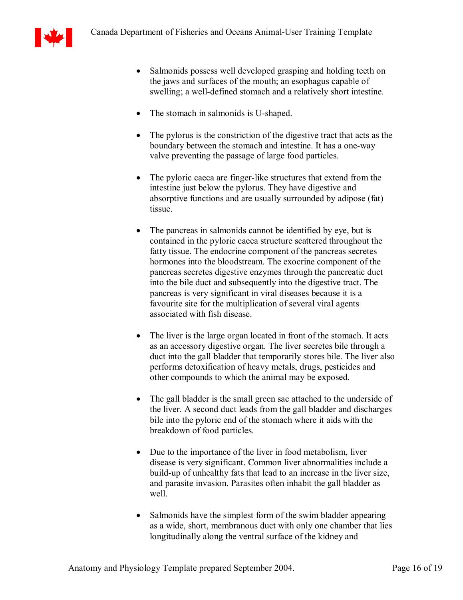

- Salmonids possess well developed grasping and holding teeth on the jaws and surfaces of the mouth; an esophagus capable of swelling; a well-defined stomach and a relatively short intestine.
- The stomach in salmonids is U-shaped.
- The pylorus is the constriction of the digestive tract that acts as the boundary between the stomach and intestine. It has a one-way valve preventing the passage of large food particles.
- The pyloric caeca are finger-like structures that extend from the intestine just below the pylorus. They have digestive and absorptive functions and are usually surrounded by adipose (fat) tissue.
- The pancreas in salmonids cannot be identified by eye, but is contained in the pyloric caeca structure scattered throughout the fatty tissue. The endocrine component of the pancreas secretes hormones into the bloodstream. The exocrine component of the pancreas secretes digestive enzymes through the pancreatic duct into the bile duct and subsequently into the digestive tract. The pancreas is very significant in viral diseases because it is a favourite site for the multiplication of several viral agents associated with fish disease.
- The liver is the large organ located in front of the stomach. It acts as an accessory digestive organ. The liver secretes bile through a duct into the gall bladder that temporarily stores bile. The liver also performs detoxification of heavy metals, drugs, pesticides and other compounds to which the animal may be exposed.
- The gall bladder is the small green sac attached to the underside of the liver. A second duct leads from the gall bladder and discharges bile into the pyloric end of the stomach where it aids with the breakdown of food particles.
- Due to the importance of the liver in food metabolism, liver disease is very significant. Common liver abnormalities include a build-up of unhealthy fats that lead to an increase in the liver size, and parasite invasion. Parasites often inhabit the gall bladder as well
- Salmonids have the simplest form of the swim bladder appearing as a wide, short, membranous duct with only one chamber that lies longitudinally along the ventral surface of the kidney and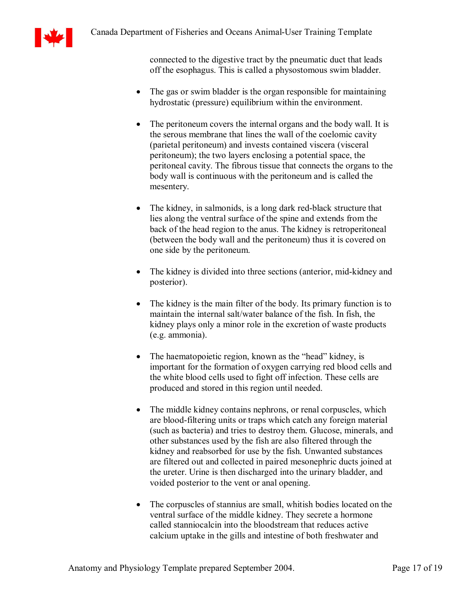

connected to the digestive tract by the pneumatic duct that leads off the esophagus. This is called a physostomous swim bladder.

- The gas or swim bladder is the organ responsible for maintaining hydrostatic (pressure) equilibrium within the environment.
- The peritoneum covers the internal organs and the body wall. It is the serous membrane that lines the wall of the coelomic cavity (parietal peritoneum) and invests contained viscera (visceral peritoneum); the two layers enclosing a potential space, the peritoneal cavity. The fibrous tissue that connects the organs to the body wall is continuous with the peritoneum and is called the mesentery.
- The kidney, in salmonids, is a long dark red-black structure that lies along the ventral surface of the spine and extends from the back of the head region to the anus. The kidney is retroperitoneal (between the body wall and the peritoneum) thus it is covered on one side by the peritoneum.
- The kidney is divided into three sections (anterior, mid-kidney and posterior).
- The kidney is the main filter of the body. Its primary function is to maintain the internal salt/water balance of the fish. In fish, the kidney plays only a minor role in the excretion of waste products (e.g. ammonia).
- The haematopoietic region, known as the "head" kidney, is important for the formation of oxygen carrying red blood cells and the white blood cells used to fight off infection. These cells are produced and stored in this region until needed.
- The middle kidney contains nephrons, or renal corpuscles, which are blood-filtering units or traps which catch any foreign material (such as bacteria) and tries to destroy them. Glucose, minerals, and other substances used by the fish are also filtered through the kidney and reabsorbed for use by the fish. Unwanted substances are filtered out and collected in paired mesonephric ducts joined at the ureter. Urine is then discharged into the urinary bladder, and voided posterior to the vent or anal opening.
- The corpuscles of stannius are small, whitish bodies located on the ventral surface of the middle kidney. They secrete a hormone called stanniocalcin into the bloodstream that reduces active calcium uptake in the gills and intestine of both freshwater and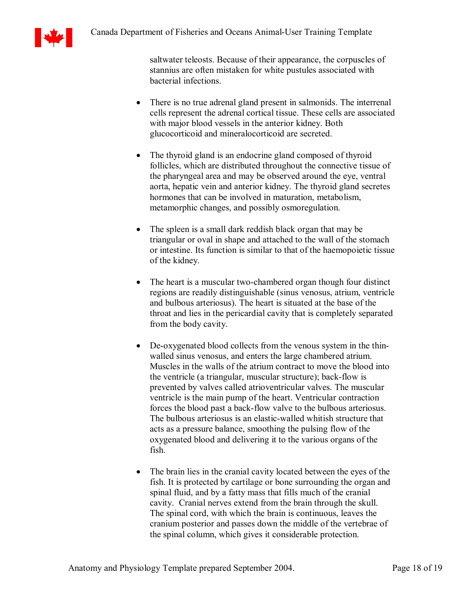

saltwater teleosts. Because of their appearance, the corpuscles of stannius are often mistaken for white pustules associated with bacterial infections.

- There is no true adrenal gland present in salmonids. The interrenal cells represent the adrenal cortical tissue. These cells are associated with major blood vessels in the anterior kidney. Both glucocorticoid and mineralocorticoid are secreted.
- The thyroid gland is an endocrine gland composed of thyroid follicles, which are distributed throughout the connective tissue of the pharyngeal area and may be observed around the eye, ventral aorta, hepatic vein and anterior kidney. The thyroid gland secretes hormones that can be involved in maturation, metabolism, metamorphic changes, and possibly osmoregulation.
- The spleen is a small dark reddish black organ that may be triangular or oval in shape and attached to the wall of the stomach or intestine. Its function is similar to that of the haemopoietic tissue of the kidney.
- The heart is a muscular two-chambered organ though four distinct regions are readily distinguishable (sinus venosus, atrium, ventricle and bulbous arteriosus). The heart is situated at the base of the throat and lies in the pericardial cavity that is completely separated from the body cavity.
- De-oxygenated blood collects from the venous system in the thinwalled sinus venosus, and enters the large chambered atrium. Muscles in the walls of the atrium contract to move the blood into the ventricle (a triangular, muscular structure); back-flow is prevented by valves called atrioventricular valves. The muscular ventricle is the main pump of the heart. Ventricular contraction forces the blood past a back-flow valve to the bulbous arteriosus. The bulbous arteriosus is an elastic-walled whitish structure that acts as a pressure balance, smoothing the pulsing flow of the oxygenated blood and delivering it to the various organs of the fish.
- · The brain lies in the cranial cavity located between the eyes of the fish. It is protected by cartilage or bone surrounding the organ and spinal fluid, and by a fatty mass that fills much of the cranial cavity. Cranial nerves extend from the brain through the skull. The spinal cord, with which the brain is continuous, leaves the cranium posterior and passes down the middle of the vertebrae of the spinal column, which gives it considerable protection.